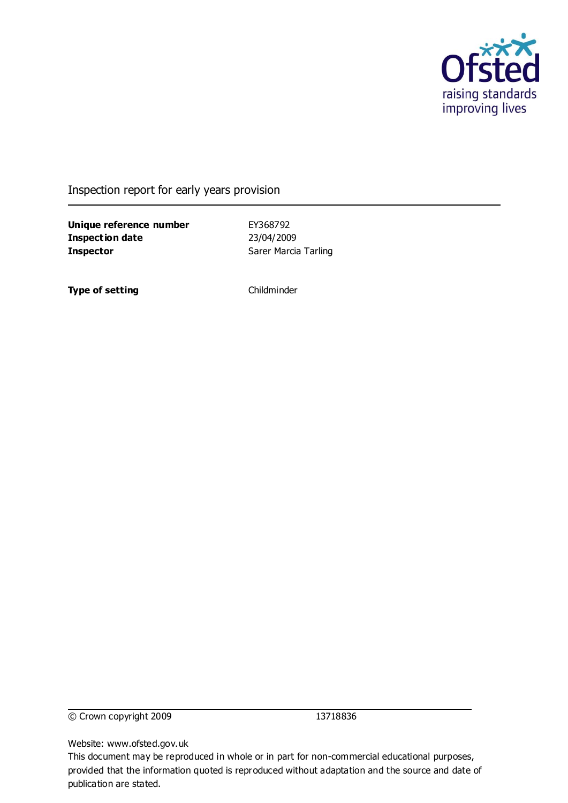

Inspection report for early years provision

**Unique reference number** EY368792 **Inspection date** 23/04/2009 **Inspector** Sarer Marcia Tarling

**Type of setting** Childminder

© Crown copyright 2009 13718836

Website: www.ofsted.gov.uk

This document may be reproduced in whole or in part for non-commercial educational purposes, provided that the information quoted is reproduced without adaptation and the source and date of publication are stated.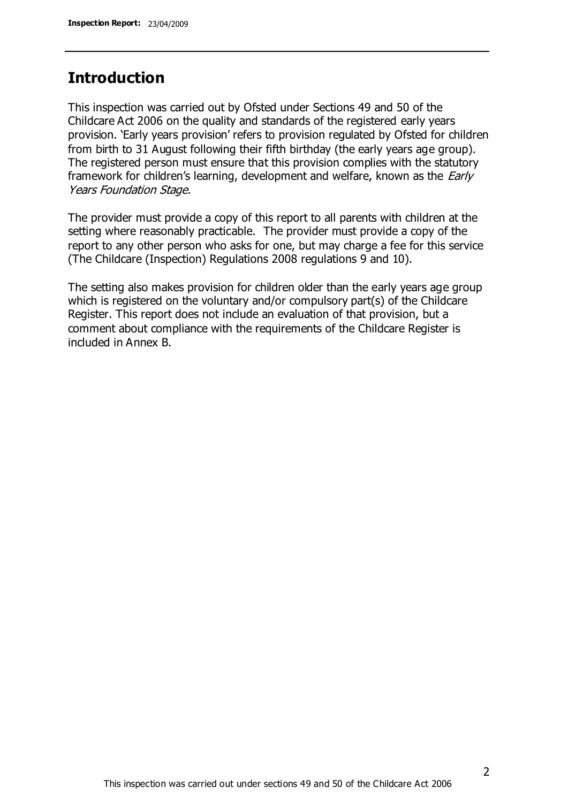## **Introduction**

This inspection was carried out by Ofsted under Sections 49 and 50 of the Childcare Act 2006 on the quality and standards of the registered early years provision. "Early years provision" refers to provision regulated by Ofsted for children from birth to 31 August following their fifth birthday (the early years age group). The registered person must ensure that this provision complies with the statutory framework for children's learning, development and welfare, known as the *Early* Years Foundation Stage.

The provider must provide a copy of this report to all parents with children at the setting where reasonably practicable. The provider must provide a copy of the report to any other person who asks for one, but may charge a fee for this service (The Childcare (Inspection) Regulations 2008 regulations 9 and 10).

The setting also makes provision for children older than the early years age group which is registered on the voluntary and/or compulsory part(s) of the Childcare Register. This report does not include an evaluation of that provision, but a comment about compliance with the requirements of the Childcare Register is included in Annex B.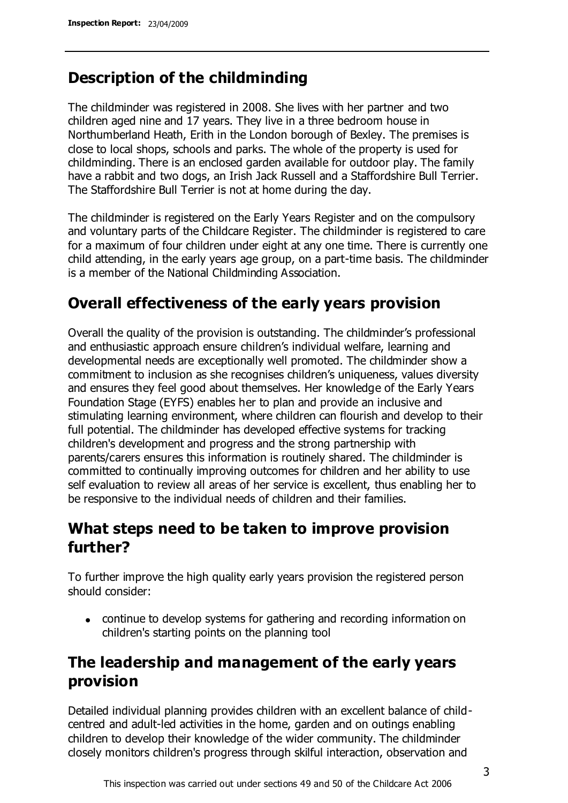## **Description of the childminding**

The childminder was registered in 2008. She lives with her partner and two children aged nine and 17 years. They live in a three bedroom house in Northumberland Heath, Erith in the London borough of Bexley. The premises is close to local shops, schools and parks. The whole of the property is used for childminding. There is an enclosed garden available for outdoor play. The family have a rabbit and two dogs, an Irish Jack Russell and a Staffordshire Bull Terrier. The Staffordshire Bull Terrier is not at home during the day.

The childminder is registered on the Early Years Register and on the compulsory and voluntary parts of the Childcare Register. The childminder is registered to care for a maximum of four children under eight at any one time. There is currently one child attending, in the early years age group, on a part-time basis. The childminder is a member of the National Childminding Association.

## **Overall effectiveness of the early years provision**

Overall the quality of the provision is outstanding. The childminder"s professional and enthusiastic approach ensure children's individual welfare, learning and developmental needs are exceptionally well promoted. The childminder show a commitment to inclusion as she recognises children"s uniqueness, values diversity and ensures they feel good about themselves. Her knowledge of the Early Years Foundation Stage (EYFS) enables her to plan and provide an inclusive and stimulating learning environment, where children can flourish and develop to their full potential. The childminder has developed effective systems for tracking children's development and progress and the strong partnership with parents/carers ensures this information is routinely shared. The childminder is committed to continually improving outcomes for children and her ability to use self evaluation to review all areas of her service is excellent, thus enabling her to be responsive to the individual needs of children and their families.

## **What steps need to be taken to improve provision further?**

To further improve the high quality early years provision the registered person should consider:

continue to develop systems for gathering and recording information on children's starting points on the planning tool

## **The leadership and management of the early years provision**

Detailed individual planning provides children with an excellent balance of childcentred and adult-led activities in the home, garden and on outings enabling children to develop their knowledge of the wider community. The childminder closely monitors children's progress through skilful interaction, observation and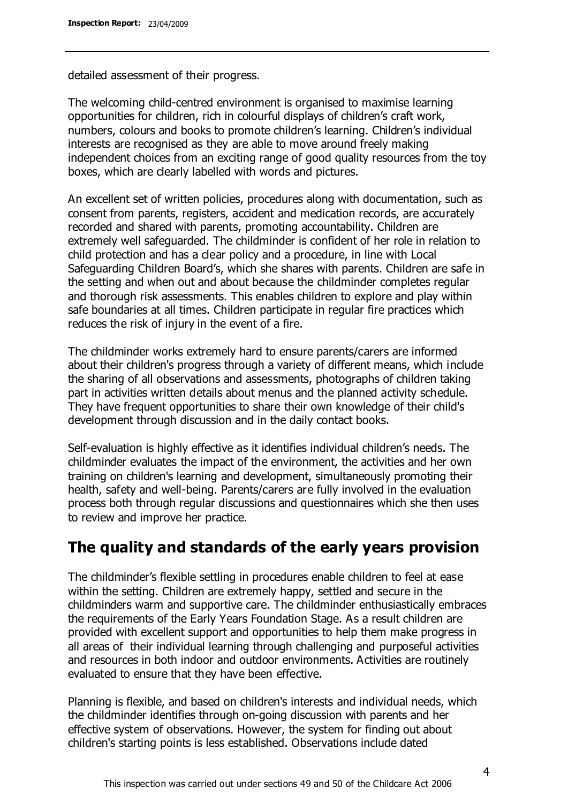detailed assessment of their progress.

The welcoming child-centred environment is organised to maximise learning opportunities for children, rich in colourful displays of children"s craft work, numbers, colours and books to promote children's learning. Children's individual interests are recognised as they are able to move around freely making independent choices from an exciting range of good quality resources from the toy boxes, which are clearly labelled with words and pictures.

An excellent set of written policies, procedures along with documentation, such as consent from parents, registers, accident and medication records, are accurately recorded and shared with parents, promoting accountability. Children are extremely well safeguarded. The childminder is confident of her role in relation to child protection and has a clear policy and a procedure, in line with Local Safeguarding Children Board"s, which she shares with parents. Children are safe in the setting and when out and about because the childminder completes regular and thorough risk assessments. This enables children to explore and play within safe boundaries at all times. Children participate in regular fire practices which reduces the risk of injury in the event of a fire.

The childminder works extremely hard to ensure parents/carers are informed about their children's progress through a variety of different means, which include the sharing of all observations and assessments, photographs of children taking part in activities written details about menus and the planned activity schedule. They have frequent opportunities to share their own knowledge of their child's development through discussion and in the daily contact books.

Self-evaluation is highly effective as it identifies individual children"s needs. The childminder evaluates the impact of the environment, the activities and her own training on children's learning and development, simultaneously promoting their health, safety and well-being. Parents/carers are fully involved in the evaluation process both through regular discussions and questionnaires which she then uses to review and improve her practice.

### **The quality and standards of the early years provision**

The childminder"s flexible settling in procedures enable children to feel at ease within the setting. Children are extremely happy, settled and secure in the childminders warm and supportive care. The childminder enthusiastically embraces the requirements of the Early Years Foundation Stage. As a result children are provided with excellent support and opportunities to help them make progress in all areas of their individual learning through challenging and purposeful activities and resources in both indoor and outdoor environments. Activities are routinely evaluated to ensure that they have been effective.

Planning is flexible, and based on children's interests and individual needs, which the childminder identifies through on-going discussion with parents and her effective system of observations. However, the system for finding out about children's starting points is less established. Observations include dated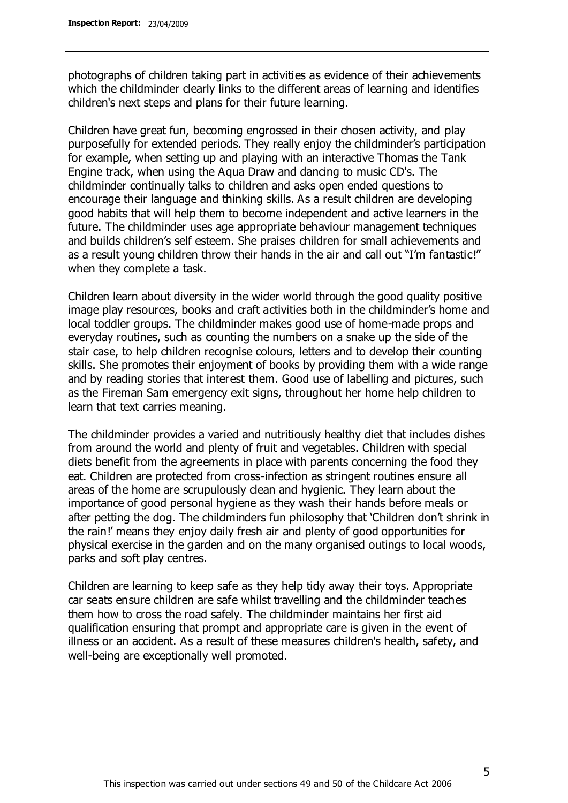photographs of children taking part in activities as evidence of their achievements which the childminder clearly links to the different areas of learning and identifies children's next steps and plans for their future learning.

Children have great fun, becoming engrossed in their chosen activity, and play purposefully for extended periods. They really enjoy the childminder"s participation for example, when setting up and playing with an interactive Thomas the Tank Engine track, when using the Aqua Draw and dancing to music CD's. The childminder continually talks to children and asks open ended questions to encourage their language and thinking skills. As a result children are developing good habits that will help them to become independent and active learners in the future. The childminder uses age appropriate behaviour management techniques and builds children"s self esteem. She praises children for small achievements and as a result young children throw their hands in the air and call out "I'm fantastic!" when they complete a task.

Children learn about diversity in the wider world through the good quality positive image play resources, books and craft activities both in the childminder"s home and local toddler groups. The childminder makes good use of home-made props and everyday routines, such as counting the numbers on a snake up the side of the stair case, to help children recognise colours, letters and to develop their counting skills. She promotes their enjoyment of books by providing them with a wide range and by reading stories that interest them. Good use of labelling and pictures, such as the Fireman Sam emergency exit signs, throughout her home help children to learn that text carries meaning.

The childminder provides a varied and nutritiously healthy diet that includes dishes from around the world and plenty of fruit and vegetables. Children with special diets benefit from the agreements in place with parents concerning the food they eat. Children are protected from cross-infection as stringent routines ensure all areas of the home are scrupulously clean and hygienic. They learn about the importance of good personal hygiene as they wash their hands before meals or after petting the dog. The childminders fun philosophy that "Children don"t shrink in the rain!" means they enjoy daily fresh air and plenty of good opportunities for physical exercise in the garden and on the many organised outings to local woods, parks and soft play centres.

Children are learning to keep safe as they help tidy away their toys. Appropriate car seats ensure children are safe whilst travelling and the childminder teaches them how to cross the road safely. The childminder maintains her first aid qualification ensuring that prompt and appropriate care is given in the event of illness or an accident. As a result of these measures children's health, safety, and well-being are exceptionally well promoted.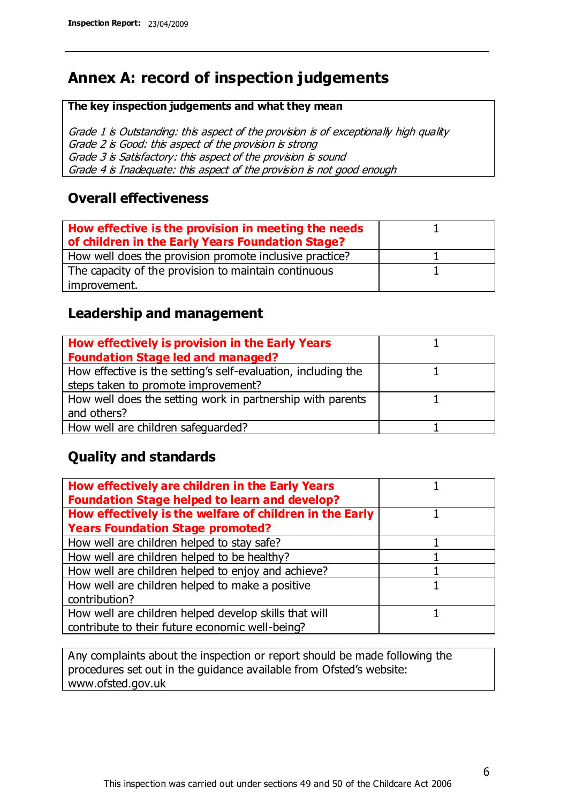## **Annex A: record of inspection judgements**

#### **The key inspection judgements and what they mean**

Grade 1 is Outstanding: this aspect of the provision is of exceptionally high quality Grade 2 is Good: this aspect of the provision is strong Grade 3 is Satisfactory: this aspect of the provision is sound Grade 4 is Inadequate: this aspect of the provision is not good enough

#### **Overall effectiveness**

| How effective is the provision in meeting the needs<br>of children in the Early Years Foundation Stage? |  |
|---------------------------------------------------------------------------------------------------------|--|
| How well does the provision promote inclusive practice?                                                 |  |
| The capacity of the provision to maintain continuous                                                    |  |
| improvement.                                                                                            |  |

#### **Leadership and management**

| How effectively is provision in the Early Years               |  |
|---------------------------------------------------------------|--|
| <b>Foundation Stage led and managed?</b>                      |  |
| How effective is the setting's self-evaluation, including the |  |
| steps taken to promote improvement?                           |  |
| How well does the setting work in partnership with parents    |  |
| and others?                                                   |  |
| How well are children safequarded?                            |  |

#### **Quality and standards**

| How effectively are children in the Early Years<br><b>Foundation Stage helped to learn and develop?</b> |  |
|---------------------------------------------------------------------------------------------------------|--|
| How effectively is the welfare of children in the Early                                                 |  |
| <b>Years Foundation Stage promoted?</b>                                                                 |  |
| How well are children helped to stay safe?                                                              |  |
| How well are children helped to be healthy?                                                             |  |
| How well are children helped to enjoy and achieve?                                                      |  |
| How well are children helped to make a positive                                                         |  |
| contribution?                                                                                           |  |
| How well are children helped develop skills that will                                                   |  |
| contribute to their future economic well-being?                                                         |  |

Any complaints about the inspection or report should be made following the procedures set out in the guidance available from Ofsted's website: www.ofsted.gov.uk